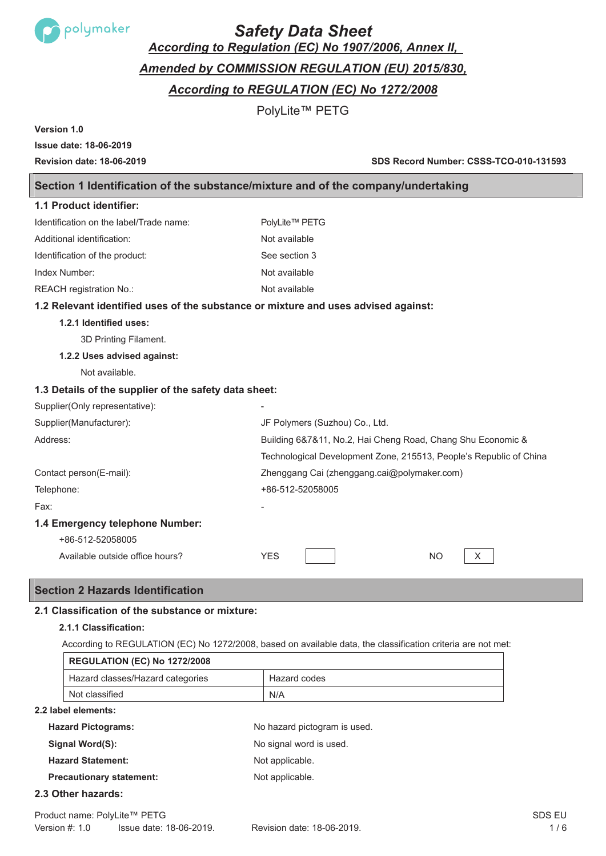

# *Safety Data Sheet*

*According to Regulation (EC) No 1907/2006, Annex II,*

# *Amended by COMMISSION REGULATION (EU) 2015/830,*

*According to REGULATION (EC) No 1272/2008* 

PolyLite™ PETG

**Version 1.0**

# **Issue date: 18-06-2019**

**Revision date: 18-06-2019 SDS Record Number: CSSS-TCO-010-131593**

# **Section 1 Identification of the substance/mixture and of the company/undertaking**

| 1.1 Product identifier:                                                            |                                                                    |
|------------------------------------------------------------------------------------|--------------------------------------------------------------------|
| Identification on the label/Trade name:                                            | PolyLite™ PETG                                                     |
| Additional identification:                                                         | Not available                                                      |
| Identification of the product:                                                     | See section 3                                                      |
| Index Number:                                                                      | Not available                                                      |
| REACH registration No.:                                                            | Not available                                                      |
| 1.2 Relevant identified uses of the substance or mixture and uses advised against: |                                                                    |
| 1.2.1 Identified uses:                                                             |                                                                    |
| 3D Printing Filament.                                                              |                                                                    |
| 1.2.2 Uses advised against:                                                        |                                                                    |
| Not available.                                                                     |                                                                    |
| 1.3 Details of the supplier of the safety data sheet:                              |                                                                    |
| Supplier(Only representative):                                                     |                                                                    |
| Supplier(Manufacturer):                                                            | JF Polymers (Suzhou) Co., Ltd.                                     |
| Address:                                                                           | Building 6&7&11, No.2, Hai Cheng Road, Chang Shu Economic &        |
|                                                                                    | Technological Development Zone, 215513, People's Republic of China |
| Contact person(E-mail):                                                            | Zhenggang Cai (zhenggang.cai@polymaker.com)                        |
| Telephone:                                                                         | +86-512-52058005                                                   |
| Fax:                                                                               |                                                                    |
| 1.4 Emergency telephone Number:                                                    |                                                                    |
| +86-512-52058005                                                                   |                                                                    |
| Available outside office hours?                                                    | <b>YES</b><br><b>NO</b><br>Χ                                       |

# **Section 2 Hazards Identification**

# **2.1 Classification of the substance or mixture:**

## **2.1.1 Classification:**

According to REGULATION (EC) No 1272/2008, based on available data, the classification criteria are not met:

| <b>REGULATION (EC) No 1272/2008</b> |              |
|-------------------------------------|--------------|
| Hazard classes/Hazard categories    | Hazard codes |
| Not classified                      | N/A          |

## **2.2 label elements:**

| <b>Hazard Pictograms:</b>       | No hazard pictogram is used. |
|---------------------------------|------------------------------|
| Signal Word(S):                 | No signal word is used.      |
| <b>Hazard Statement:</b>        | Not applicable.              |
| <b>Precautionary statement:</b> | Not applicable.              |

## **2.3 Other hazards:**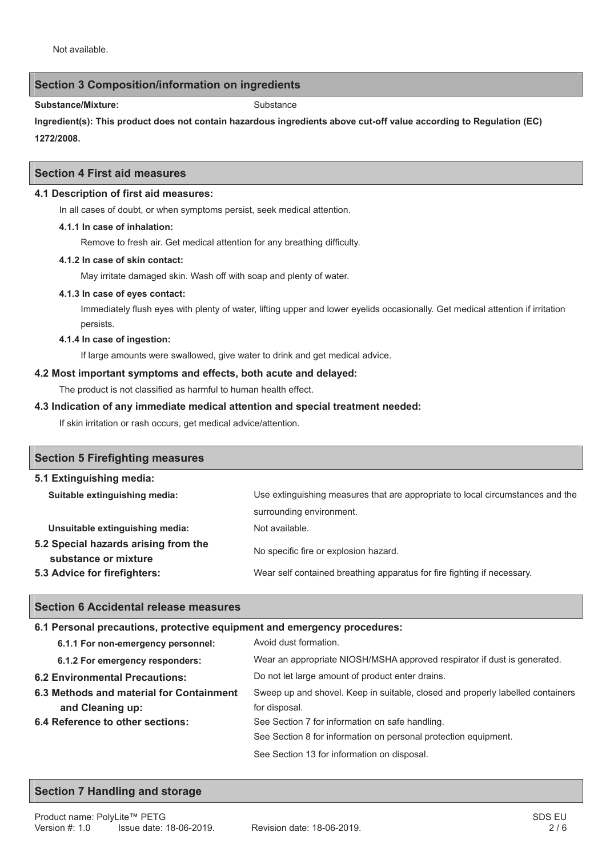## **Section 3 Composition/information on ingredients**

Substance/Mixture: Substance

**Ingredient(s): This product does not contain hazardous ingredients above cut-off value according to Regulation (EC) 1272/2008.**

#### **Section 4 First aid measures**

#### **4.1 Description of first aid measures:**

In all cases of doubt, or when symptoms persist, seek medical attention.

#### **4.1.1 In case of inhalation:**

Remove to fresh air. Get medical attention for any breathing difficulty.

#### **4.1.2 In case of skin contact:**

May irritate damaged skin. Wash off with soap and plenty of water.

#### **4.1.3 In case of eyes contact:**

Immediately flush eyes with plenty of water, lifting upper and lower eyelids occasionally. Get medical attention if irritation persists.

#### **4.1.4 In case of ingestion:**

If large amounts were swallowed, give water to drink and get medical advice.

#### **4.2 Most important symptoms and effects, both acute and delayed:**

The product is not classified as harmful to human health effect.

#### **4.3 Indication of any immediate medical attention and special treatment needed:**

If skin irritation or rash occurs, get medical advice/attention.

| <b>Section 5 Firefighting measures</b>                       |                                                                                |
|--------------------------------------------------------------|--------------------------------------------------------------------------------|
| 5.1 Extinguishing media:                                     |                                                                                |
| Suitable extinguishing media:                                | Use extinguishing measures that are appropriate to local circumstances and the |
|                                                              | surrounding environment.                                                       |
| Unsuitable extinguishing media:                              | Not available.                                                                 |
| 5.2 Special hazards arising from the<br>substance or mixture | No specific fire or explosion hazard.                                          |
| 5.3 Advice for firefighters:                                 | Wear self contained breathing apparatus for fire fighting if necessary.        |

## **Section 6 Accidental release measures**

## **6.1 Personal precautions, protective equipment and emergency procedures:**

| 6.1.1 For non-emergency personnel:       | Avoid dust formation.                                                          |
|------------------------------------------|--------------------------------------------------------------------------------|
| 6.1.2 For emergency responders:          | Wear an appropriate NIOSH/MSHA approved respirator if dust is generated.       |
| <b>6.2 Environmental Precautions:</b>    | Do not let large amount of product enter drains.                               |
| 6.3 Methods and material for Containment | Sweep up and shovel. Keep in suitable, closed and properly labelled containers |
| and Cleaning up:                         | for disposal.                                                                  |
| 6.4 Reference to other sections:         | See Section 7 for information on safe handling.                                |
|                                          | See Section 8 for information on personal protection equipment.                |
|                                          | See Section 13 for information on disposal.                                    |

## **Section 7 Handling and storage**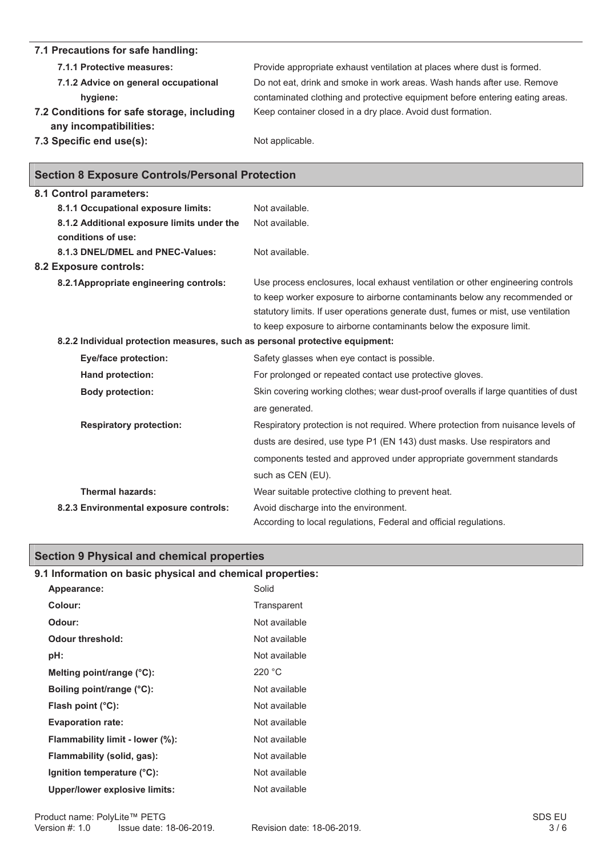#### **7.1 Precautions for safe handling: 7.1.1 Protective measures:** Provide appropriate exhaust ventilation at places where dust is formed. **7.1.2 Advice on general occupational hygiene:** Do not eat, drink and smoke in work areas. Wash hands after use. Remove contaminated clothing and protective equipment before entering eating areas. **7.2 Conditions for safe storage, including any incompatibilities:**  Keep container closed in a dry place. Avoid dust formation. **7.3 Specific end use(s):** Not applicable.

|  |  | <b>Section 8 Exposure Controls/Personal Protection</b> |  |
|--|--|--------------------------------------------------------|--|
|--|--|--------------------------------------------------------|--|

| 8.1 Control parameters:                                                      |                                                                                                                                                                                                                                                                                                                           |
|------------------------------------------------------------------------------|---------------------------------------------------------------------------------------------------------------------------------------------------------------------------------------------------------------------------------------------------------------------------------------------------------------------------|
| 8.1.1 Occupational exposure limits:                                          | Not available.                                                                                                                                                                                                                                                                                                            |
| 8.1.2 Additional exposure limits under the                                   | Not available.                                                                                                                                                                                                                                                                                                            |
| conditions of use:                                                           |                                                                                                                                                                                                                                                                                                                           |
| 8.1.3 DNEL/DMEL and PNEC-Values:                                             | Not available.                                                                                                                                                                                                                                                                                                            |
| 8.2 Exposure controls:                                                       |                                                                                                                                                                                                                                                                                                                           |
| 8.2.1 Appropriate engineering controls:                                      | Use process enclosures, local exhaust ventilation or other engineering controls<br>to keep worker exposure to airborne contaminants below any recommended or<br>statutory limits. If user operations generate dust, fumes or mist, use ventilation<br>to keep exposure to airborne contaminants below the exposure limit. |
| 8.2.2 Individual protection measures, such as personal protective equipment: |                                                                                                                                                                                                                                                                                                                           |
| Eye/face protection:                                                         | Safety glasses when eye contact is possible.                                                                                                                                                                                                                                                                              |
| Hand protection:                                                             | For prolonged or repeated contact use protective gloves.                                                                                                                                                                                                                                                                  |
| <b>Body protection:</b>                                                      | Skin covering working clothes; wear dust-proof overalls if large quantities of dust<br>are generated.                                                                                                                                                                                                                     |
| <b>Respiratory protection:</b>                                               | Respiratory protection is not required. Where protection from nuisance levels of<br>dusts are desired, use type P1 (EN 143) dust masks. Use respirators and                                                                                                                                                               |
|                                                                              | components tested and approved under appropriate government standards<br>such as CEN (EU).                                                                                                                                                                                                                                |
| <b>Thermal hazards:</b>                                                      | Wear suitable protective clothing to prevent heat.                                                                                                                                                                                                                                                                        |
| 8.2.3 Environmental exposure controls:                                       | Avoid discharge into the environment.<br>According to local regulations, Federal and official regulations.                                                                                                                                                                                                                |
|                                                                              |                                                                                                                                                                                                                                                                                                                           |

# **Section 9 Physical and chemical properties**

# **9.1 Information on basic physical and chemical properties:**

| Appearance:                          | Solid         |
|--------------------------------------|---------------|
| Colour:                              | Transparent   |
| Odour:                               | Not available |
| Odour threshold:                     | Not available |
| pH:                                  | Not available |
| Melting point/range (°C):            | 220 °C        |
| Boiling point/range (°C):            | Not available |
| Flash point $(^{\circ}C)$ :          | Not available |
| <b>Evaporation rate:</b>             | Not available |
| Flammability limit - lower (%):      | Not available |
| Flammability (solid, gas):           | Not available |
| Ignition temperature (°C):           | Not available |
| <b>Upper/lower explosive limits:</b> | Not available |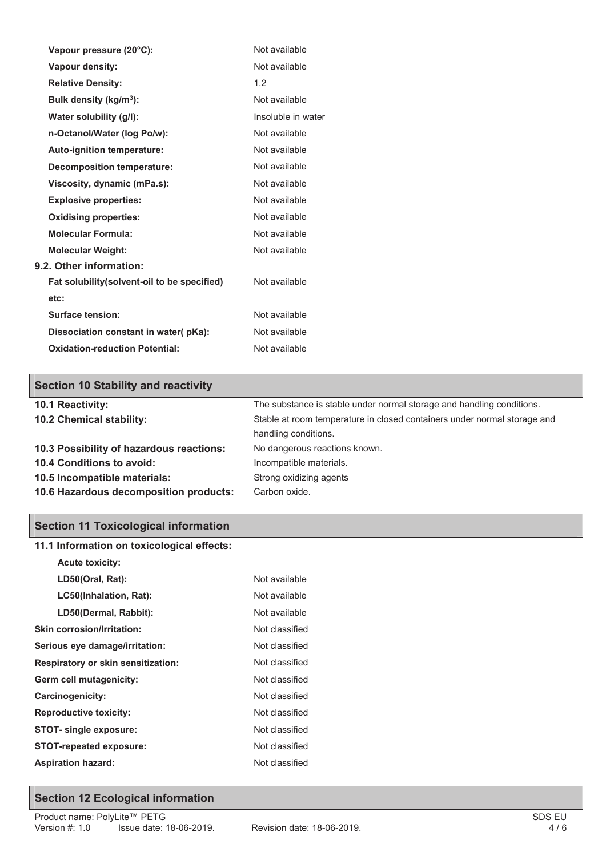| Vapour pressure (20°C):                      | Not available      |
|----------------------------------------------|--------------------|
| <b>Vapour density:</b>                       | Not available      |
| <b>Relative Density:</b>                     | 1.2                |
| Bulk density (kg/m <sup>3</sup> ):           | Not available      |
| Water solubility (g/l):                      | Insoluble in water |
| n-Octanol/Water (log Po/w):                  | Not available      |
| <b>Auto-ignition temperature:</b>            | Not available      |
| <b>Decomposition temperature:</b>            | Not available      |
| Viscosity, dynamic (mPa.s):                  | Not available      |
| <b>Explosive properties:</b>                 | Not available      |
| <b>Oxidising properties:</b>                 | Not available      |
| <b>Molecular Formula:</b>                    | Not available      |
| <b>Molecular Weight:</b>                     | Not available      |
| 9.2. Other information:                      |                    |
| Fat solubility (solvent-oil to be specified) | Not available      |
| etc:                                         |                    |
| Surface tension:                             | Not available      |
| Dissociation constant in water(pKa):         | Not available      |
| <b>Oxidation-reduction Potential:</b>        | Not available      |

# **Section 10 Stability and reactivity**

| 10.1 Reactivity:                         | The substance is stable under normal storage and handling conditions.    |
|------------------------------------------|--------------------------------------------------------------------------|
| 10.2 Chemical stability:                 | Stable at room temperature in closed containers under normal storage and |
|                                          | handling conditions.                                                     |
| 10.3 Possibility of hazardous reactions: | No dangerous reactions known.                                            |
| 10.4 Conditions to avoid:                | Incompatible materials.                                                  |
| 10.5 Incompatible materials:             | Strong oxidizing agents                                                  |
| 10.6 Hazardous decomposition products:   | Carbon oxide.                                                            |

# **Section 11 Toxicological information**

| 11.1 Information on toxicological effects: |                |  |
|--------------------------------------------|----------------|--|
| <b>Acute toxicity:</b>                     |                |  |
| LD50(Oral, Rat):                           | Not available  |  |
| LC50(Inhalation, Rat):                     | Not available  |  |
| LD50(Dermal, Rabbit):                      | Not available  |  |
| Skin corrosion/Irritation:                 | Not classified |  |
| Serious eye damage/irritation:             | Not classified |  |
| <b>Respiratory or skin sensitization:</b>  | Not classified |  |
| Germ cell mutagenicity:                    | Not classified |  |
| Carcinogenicity:                           | Not classified |  |
| <b>Reproductive toxicity:</b>              | Not classified |  |
| <b>STOT-</b> single exposure:              | Not classified |  |
| <b>STOT-repeated exposure:</b>             | Not classified |  |
| <b>Aspiration hazard:</b>                  | Not classified |  |
|                                            |                |  |

# **Section 12 Ecological information**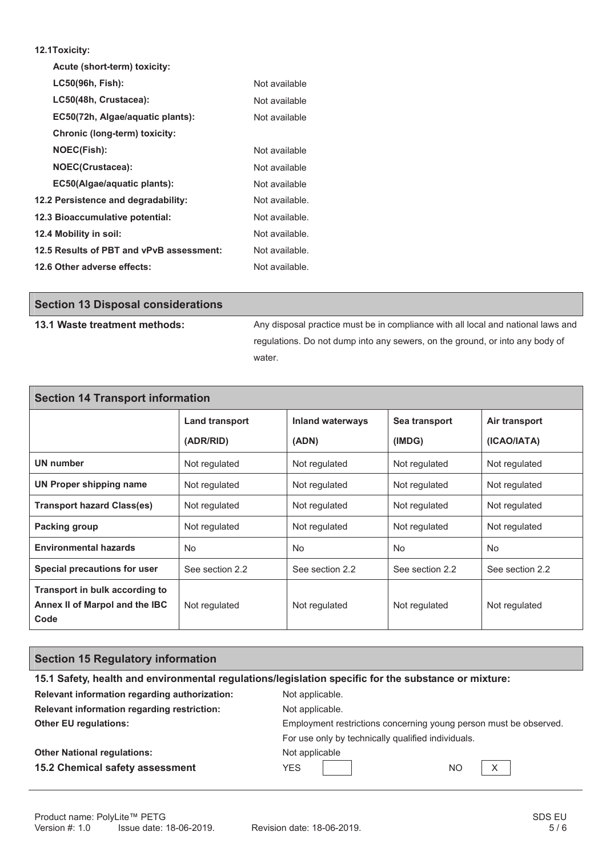#### **12.1Toxicity:**

Г

| Acute (short-term) toxicity:             |                |
|------------------------------------------|----------------|
| LC50(96h, Fish):                         | Not available  |
| LC50(48h, Crustacea):                    | Not available  |
| EC50(72h, Algae/aquatic plants):         | Not available  |
| Chronic (long-term) toxicity:            |                |
| <b>NOEC(Fish):</b>                       | Not available  |
| <b>NOEC(Crustacea):</b>                  | Not available  |
| EC50(Algae/aguatic plants):              | Not available  |
| 12.2 Persistence and degradability:      | Not available. |
| 12.3 Bioaccumulative potential:          | Not available. |
| 12.4 Mobility in soil:                   | Not available. |
| 12.5 Results of PBT and vPvB assessment: | Not available. |
| 12.6 Other adverse effects:              | Not available. |

| <b>Section 13 Disposal considerations</b> |                                                                                  |
|-------------------------------------------|----------------------------------------------------------------------------------|
| 13.1 Waste treatment methods:             | Any disposal practice must be in compliance with all local and national laws and |
|                                           | regulations. Do not dump into any sewers, on the ground, or into any body of     |
|                                           | water.                                                                           |

| <b>Section 14 Transport information</b>                                  |                       |                         |                 |                 |  |
|--------------------------------------------------------------------------|-----------------------|-------------------------|-----------------|-----------------|--|
|                                                                          | <b>Land transport</b> | <b>Inland waterways</b> | Sea transport   | Air transport   |  |
|                                                                          | (ADR/RID)             | (ADN)                   | (IMDG)          | (ICAO/IATA)     |  |
| UN number                                                                | Not regulated         | Not regulated           | Not regulated   | Not regulated   |  |
| <b>UN Proper shipping name</b>                                           | Not regulated         | Not regulated           | Not regulated   | Not regulated   |  |
| <b>Transport hazard Class(es)</b>                                        | Not regulated         | Not regulated           | Not regulated   | Not regulated   |  |
| <b>Packing group</b>                                                     | Not regulated         | Not regulated           | Not regulated   | Not regulated   |  |
| <b>Environmental hazards</b>                                             | No.                   | No.                     | No.             | No.             |  |
| Special precautions for user                                             | See section 2.2       | See section 2.2         | See section 2.2 | See section 2.2 |  |
| Transport in bulk according to<br>Annex II of Marpol and the IBC<br>Code | Not regulated         | Not regulated           | Not regulated   | Not regulated   |  |

# **Section 15 Regulatory information**

| 15.1 Safety, health and environmental regulations/legislation specific for the substance or mixture: |                                                                   |  |  |
|------------------------------------------------------------------------------------------------------|-------------------------------------------------------------------|--|--|
| Relevant information regarding authorization:                                                        | Not applicable.                                                   |  |  |
| Relevant information regarding restriction:                                                          | Not applicable.                                                   |  |  |
| <b>Other EU regulations:</b>                                                                         | Employment restrictions concerning young person must be observed. |  |  |
|                                                                                                      | For use only by technically qualified individuals.                |  |  |
| <b>Other National regulations:</b>                                                                   | Not applicable                                                    |  |  |
| 15.2 Chemical safety assessment                                                                      | X<br><b>YES</b><br>N <sub>O</sub>                                 |  |  |